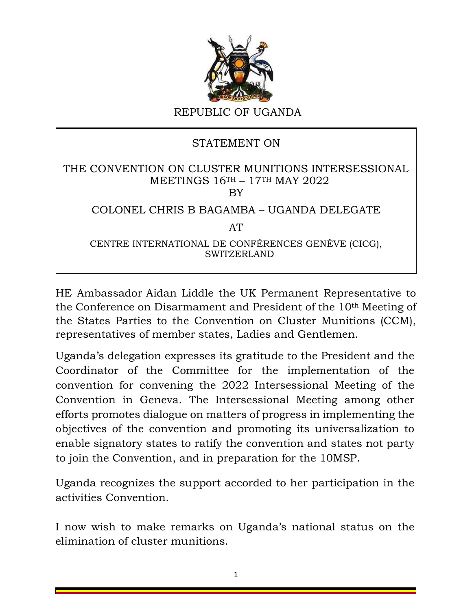

## STATEMENT ON

## THE CONVENTION ON CLUSTER MUNITIONS INTERSESSIONAL MEETINGS 16TH – 17TH MAY 2022 BY

## COLONEL CHRIS B BAGAMBA – UGANDA DELEGATE

AT

CENTRE INTERNATIONAL DE CONFÉRENCES GENÈVE (CICG), SWITZERLAND

HE Ambassador Aidan Liddle the UK Permanent Representative to the Conference on Disarmament and President of the 10th Meeting of the States Parties to the Convention on Cluster Munitions (CCM), representatives of member states, Ladies and Gentlemen.

Uganda's delegation expresses its gratitude to the President and the Coordinator of the Committee for the implementation of the convention for convening the 2022 Intersessional Meeting of the Convention in Geneva. The Intersessional Meeting among other efforts promotes dialogue on matters of progress in implementing the objectives of the convention and promoting its universalization to enable signatory states to ratify the convention and states not party to join the Convention, and in preparation for the 10MSP.

Uganda recognizes the support accorded to her participation in the activities Convention.

I now wish to make remarks on Uganda's national status on the elimination of cluster munitions.